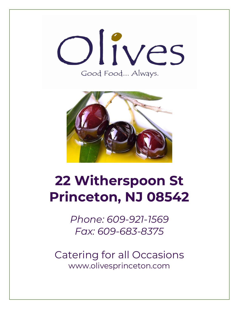



# **22 Witherspoon St Princeton, NJ 08542**

*Phone: 609-921-1569 Fax: 609-683-8375*

Catering for all Occasions www.olivesprinceton.com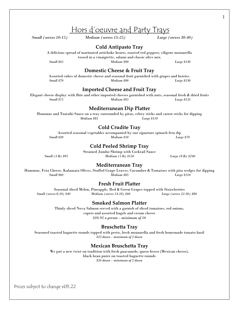#### **Cold Antipasto Tray**

A delicious spread of marinated artichoke hearts, roasted red peppers, ciligene mozzarella tossed in a vinaigrette, salami and classic olive mix

*Small \$65 Medium \$90 Large \$130*

#### **Domestic Cheese & Fruit Tray**

Assorted cubes of domestic cheese and seasonal fruit garnished with grapes and berries. *Small \$70 Medium \$90 Large \$130*

#### **Imported Cheese and Fruit Tray**

Elegant cheese display with Brie and other imported cheeses garnished with nuts, seasonal fresh & dried fruits *Small \$75 Medium \$95 Large \$135*

#### **Mediterranean Dip Platter**

Hummus and Tzatziki Sauce on a tray surrounded by pitas, celery sticks and carrot sticks for dipping *Medium \$85 Large \$110*

#### **Cold Crudite Tray**

Assorted seasonal vegetables accompanied by our signature spinach feta dip *Small \$30 Medium \$50 Large \$70*

#### **Cold Peeled Shrimp Tray**

Steamed Jumbo Shrimp with Cocktail Sauce *Small (3 lb) \$95 Medium (5 lb) \$150 Large (8 lb) \$240*

#### **Mediterranean Tray**

Hummus, Feta Cheese, Kalamata Olives, Stuffed Grape Leaves, Cucumber & Tomatoes with pita wedges for dipping *Small \$60 Medium \$85 Large \$110*

#### **Fresh Fruit Platter**

Seasonal sliced Melon, Pineapple, Red & Green Grapes topped with Strawberries *Small (serves 8-10) \$40 Medium (serves 14-18) \$60 Large (serves 22-30) \$80*

#### **Smoked Salmon Platter**

Thinly sliced Nova Salmon served with a garnish of sliced tomatoes, red onions, capers and assorted bagels and cream cheese *\$10.95 a person – minimum of 10*

#### **Bruschetta Tray**

Seasoned toasted baguette rounds topped with pesto, fresh mozzarella and fresh homemade tomato basil *\$23 dozen – minimum of 2 dozen*

#### **Mexican Bruschetta Tray**

We put a new twist on tradition with fresh guacamole, queso fresco (Mexican cheese), black bean puree on toasted baguette rounds *\$26 dozen – minimum of 2 dozen*

Prices subject to change v05.22

#### 1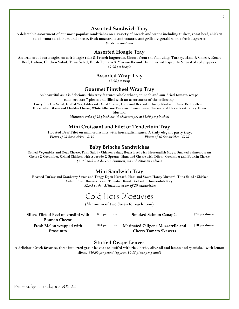#### **Assorted Sandwich Tray**

A delectable assortment of our most popular sandwiches on a variety of breads and wraps including turkey, roast beef, chicken salad, tuna salad, ham and cheese, fresh mozzarella and tomato, and grilled vegetables on a fresh baguette *\$8.95 per sandwich*

#### **Assorted Hoagie Tray**

Assortment of our hoagies on soft hoagie rolls & French baguettes. Choose from the following: Turkey, Ham & Cheese, Roast Beef, Italian, Chicken Salad, Tuna Salad, Fresh Tomato & Mozzarella and Hummus with sprouts & roasted red peppers. *\$9.95 per hoagie*

#### **Assorted Wrap Tray**

*\$8.95 per wrap*

#### **Gourmet Pinwheel Wrap Tray**

As beautiful as it is delicious, this tray features whole wheat, spinach and sun-dried tomato wraps,

each cut into 7 pieces and filled with an assortment of the following:

Curry Chicken Salad, Grilled Vegetables with Goat Cheese, Ham and Brie with Honey Mustard, Roast Beef with our

Horseradish Mayo and Cheddar Cheese, White Albacore Tuna and Swiss Cheese, Turkey and Havarti with spicy Dijon Mustard

*Minimum order of 28 pinwheels (4 whole wraps) at \$1.99 per pinwheel*

#### **Mini Croissant and Filet of Tenderloin Tray**

Roasted Beef Filet on mini croissants with horseradish sauce. A truly elegant party tray. *Platter of 25 Sandwiches - \$110 Platter of 45 Sandwiches - \$195*

#### **Baby Brioche Sandwiches**

Grilled Vegetables and Goat Cheese, Tuna Salad ∙ Chicken Salad, Roast Beef with Horseradish Mayo, Smoked Salmon Cream Cheese & Cucumber, Grilled Chicken with Avocado & Sprouts, Ham and Cheese with Dijon ∙ Cucumber and Boursin Cheese *\$2.95 each – 2 dozen minimum, no substitutions please*

#### **Mini Sandwich Tray**

Roasted Turkey and Cranberry Sauce and Tangy Dijon Mustard, Ham and Sweet Honey Mustard, Tuna Salad ∙ Chicken Salad, Fresh Mozzarella and Tomato ∙ Roast Beef with Horseradish Mayo *\$2.95 each - Minimum order of 20 sandwiches*



(Minimum of two dozen for each item)

| Sliced Filet of Beef on crostini with | \$30 per dozen | <b>Smoked Salmon Canapés</b>      | \$24 per dozen |
|---------------------------------------|----------------|-----------------------------------|----------------|
| <b>Boursin Cheese</b>                 |                |                                   |                |
| Fresh Melon wrapped with              | \$24 per dozen | Marinated Ciligene Mozzarella and | \$18 per dozen |
| Prosciutto                            |                | <b>Cherry Tomato Skewers</b>      |                |

#### Stuffed Grape Leaves

A delicious Greek favorite, these imported grape leaves are stuffed with rice, herbs, olive oil and lemon and garnished with lemon slices. *\$10.99 per pound (approx. 16-18 pieces per pound)*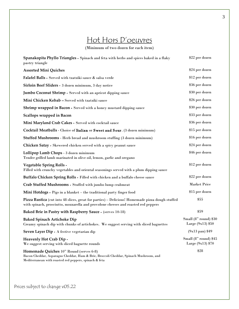### Hot Hors D'oeuvres

(Minimum of two dozen for each item)

| Spanakopita Phyllo Triangles - Spinach and feta with herbs and spices baked in a flaky<br>pastry triangle                                                                                  | \$22 per dozen                               |
|--------------------------------------------------------------------------------------------------------------------------------------------------------------------------------------------|----------------------------------------------|
| <b>Assorted Mini Quiches</b>                                                                                                                                                               | \$24 per dozen                               |
| Falafel Balls - Served with tzatziki sauce & salsa verde                                                                                                                                   | \$12 per dozen                               |
| Sirloin Beef Sliders - 3 dozen minimum, 3 day notice                                                                                                                                       | \$36 per dozen                               |
| <b>Jumbo Coconut Shrimp - Served with an apricot dipping sauce</b>                                                                                                                         | \$30 per dozen                               |
| Mini Chicken Kebab - Served with tzatziki sauce                                                                                                                                            | \$26 per dozen                               |
| Shrimp wrapped in Bacon - Served with a honey mustard dipping sauce                                                                                                                        | \$30 per dozen                               |
| Scallops wrapped in Bacon                                                                                                                                                                  | \$33 per dozen                               |
| Mini Maryland Crab Cakes - Served with cocktail sauce                                                                                                                                      | \$36 per dozen                               |
| Cocktail Meatballs - Choice of Italian or Sweet and Sour. (3 dozen minimum)                                                                                                                | \$15 per dozen                               |
| <b>Stuffed Mushrooms</b> - Herb bread and mushroom stuffing (3 dozen minimum)                                                                                                              | \$16 per dozen                               |
| Chicken Satay - Skewered chicken served with a spicy peanut sauce                                                                                                                          | \$24 per dozen                               |
| Lollipop Lamb Chops - 3 dozen minimum<br>Tender grilled lamb marinated in olive oil, lemon, garlic and oregano                                                                             | \$46 per dozen                               |
| Vegetable Spring Rolls -<br>Filled with crunchy vegetables and oriental seasonings served with a plum dipping sauce                                                                        | \$12 per dozen                               |
| Buffalo Chicken Spring Rolls - Filled with chicken and a buffalo cheese sauce                                                                                                              | \$22 per dozen                               |
| Crab Stuffed Mushrooms - Stuffed with jumbo lump crabmeat                                                                                                                                  | <b>Market Price</b>                          |
| Mini Hotdogs - Pigs in a blanket - the traditional party finger food                                                                                                                       | \$15 per dozen                               |
| Pizza Rustica (cut into 48 slices, great for parties) - Delicious! Homemade pizza dough stuffed<br>with spinach, prosciutto, mozzarella and provolone cheeses and roasted red peppers      | \$55                                         |
| Baked Brie in Pastry with Raspberry Sauce - (serves 10-18)                                                                                                                                 | \$59                                         |
| <b>Baked Spinach Artichoke Dip</b><br>Creamy spinach dip with chunks of artichokes. We suggest serving with sliced baguettes                                                               | Small (8" round) \$30<br>Large $(9x13)$ \$50 |
| Seven Layer Dip - A festive vegetarian dip                                                                                                                                                 | (9x13 pan) \$49                              |
| Heavenly Hot Crab Dip -<br>We suggest serving with sliced baguette rounds                                                                                                                  | Small (8" round) \$45<br>Large $(9x13)$ \$70 |
| Homemade Quiches 10" Round (serves 6-8)<br>Bacon Cheddar, Asparagus Cheddar, Ham & Brie, Broccoli Cheddar, Spinach Mushroom, and<br>Mediterranean with roasted red peppers, spinach & feta | \$28                                         |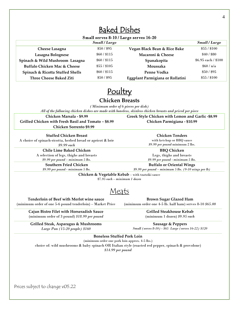#### Small serves 8-10 / Large serves 16-20

|                                         | <b>Small / Large</b> |                                  | <b>Small / Large</b> |
|-----------------------------------------|----------------------|----------------------------------|----------------------|
| <b>Cheese Lasagna</b>                   | \$50/ \$95           | Vegan Black Bean & Rice Bake     | \$55/ \$100          |
| Lasagna Bolognese                       | \$60 / \$115         | Macaroni & Cheese                | \$40/ \$80           |
| Spinach & Wild Mushroom Lasagna         | $$60/$ \$115         | Spanakopita                      | \$6.95 each / \$100  |
| <b>Buffalo Chicken Mac &amp; Cheese</b> | \$55 / \$105         | Moussaka                         | \$60/n/a             |
| Spinach & Ricotta Stuffed Shells        | \$60 / \$115         | Penne Vodka                      | \$50/ \$95           |
| <b>Three Cheese Baked Ziti</b>          | \$50/ \$95           | Eggplant Parmigiana or Rollatini | \$55/ \$100          |



#### **Chicken Breasts**

*(Minimum order of 6 pieces per dish)*

*All of the following chicken dishes are made with boneless, skinless chicken breasts and priced per piece*

**Grilled Chicken with Fresh Basil and Tomato – \$8.99 Chicken Parmigiana - \$10.99 Chicken Sorrento \$9.99**

**Stuffed Chicken Breast** A choice of spinach-ricotta, herbed bread or apricot & brie

**Chicken Marsala - \$9.99 Greek Style Chicken with Lemon and Garlic -\$8.99**

**Chicken Tenders** with ketchup or BBQ sauce

*\$9.99 each*

**Chile Lime Baked Chicken** A selection of legs, thighs and breasts *\$9.99 per pound – minimum 5 lbs.*

**Southern Fried Chicken**

*\$9.99 per pound* minimum 2 lbs.

**BBQ Chicken** Legs, thighs and breasts *\$9.99 per pound - minimum 5 lbs.*

**Buffalo or Oriental Wings** *\$9.99 per pound – minimum 5 lbs. (9-10 wings per lb)*

*\$9.99 per pound - minimum 5 lbs.*

**Chicken & Vegetable Kebab** – with tzatziki sauce

\$7*.95 each – minimum 1 dozen*

Meats

**Tenderloin of Beef with Merlot wine sauce** (minimum order of one 5-6 pound tenderloin) – Market Price **Brown Sugar Glazed Ham**

(minimum order one 4-5 lb. half ham) serves 8-10 *\$65.00*

**Grilled Steakhouse Kebab** (minimum 1 dozen) *\$9.95 each* 

**Grilled Steak, Asparagus & Mushrooms** *Large Pan (15-20 people) \$160*

**Cajun Bistro Filet with Horseradish Sauce**  (minimum order of 3 pound) *\$18.99 per pound*

> **Sausage & Peppers** *Small (serves 8-10) - \$65 Large (serves 16-22) \$120*

**Boneless Stuffed Pork Loin**

(minimum order one pork loin approx. 4-5 lbs.)

choice of: wild mushrooms & baby spinach OR Italian style (roasted red pepper, spinach & provolone)

*\$14.99 per pound*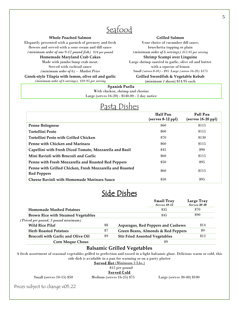Seafood

#### **Whole Poached Salmon**

Elegantly presented with a garnish of greenery and fresh flowers and served with a sour cream and dill sauce *(minimum order of one 9-12 pound fish) \$24 per pound*

**Homemade Maryland Crab Cakes** Made with jumbo lump crab meat. Served with cocktail sauce *(minimum order of 6) – Market Price* **Greek-style Tilapia with lemon, olive oil and garlic** *(minimum order of 6 servings) \$10.95 per serving*

#### **Grilled Salmon**

Your choice of cucumber dill sauce, bruschetta topping or plain *(minimum order of 6 servings) \$15.95 per serving* **Shrimp Scampi over Linguine** Large shrimp sautéed in garlic, olive oil and butter with a squeeze of lemon

*Small (serves 8-10) - \$95 Large (serves 16-20) \$175*

**Grilled Swordfish & Vegetable Kebab** (*minimum 1 dozen*) \$14.95 each

#### Spanish Paella

With chicken, shrimp and chorizo Large (serves 16-20) - \$140.00 - 2 day notice

### Pasta Dishes

|                                                                                | Half Pan<br>$(serves 8-12 ppl)$ | <b>Full Pan</b><br>$(serves 16-20$ ppl $)$ |
|--------------------------------------------------------------------------------|---------------------------------|--------------------------------------------|
| <b>Penne Bolognese</b>                                                         | \$60                            | \$115                                      |
| <b>Tortellini Pesto</b>                                                        | \$60                            | \$115                                      |
| <b>Tortellini Pesto with Grilled Chicken</b>                                   | \$70                            | \$130                                      |
| Penne with Chicken and Marinara                                                | \$60                            | \$115                                      |
| Capellini with Fresh Diced Tomato, Mozzarella and Basil                        | \$45                            | \$90                                       |
| Mini Ravioli with Broccoli and Garlic                                          | \$60                            | \$115                                      |
| Penne with Fresh Mozzarella and Roasted Red Peppers                            | \$50                            | \$95                                       |
| Penne with Grilled Chicken, Fresh Mozzarella and Roasted<br><b>Red Peppers</b> | \$60                            | \$115                                      |
| Cheese Ravioli with Homemade Marinara Sauce                                    | \$50                            | \$95                                       |

### Side Dishes

|                                           |     | <b>Small Tray</b><br><b>Serves</b> 10-15 | Large Tray<br><b>Serves</b> 20-30 |
|-------------------------------------------|-----|------------------------------------------|-----------------------------------|
| <b>Homemade Mashed Potatoes</b>           |     | \$35                                     | \$70                              |
| <b>Brown Rice with Steamed Vegetables</b> |     | \$45                                     | \$90                              |
| (Priced per pound, 3 pound minimum)       |     |                                          |                                   |
| <b>Wild Rice Pilaf</b>                    | \$8 | Asparagus, Red Peppers and Cashews       | $\$14$                            |
| <b>Herb Roasted Potatoes</b>              | \$7 | Green Beans, Almonds & Red Peppers       | \$9                               |
| <b>Broccoli with Garlic and Olive Oil</b> | \$9 | <b>Stir Fried Assorted Vegetables</b>    | \$12                              |
| <b>Corn Moque Choux</b>                   |     | \$9                                      |                                   |

#### **Balsamic Grilled Vegetables**

A fresh assortment of seasonal vegetables grilled to perfection and tossed in a light balsamic glaze. Delicious warm or cold, this side dish is available in a pan for warming or on a party platter

Served Hot (Minimum 3 Lbs.)

\$12 per pound

Served Cold

Small (serves 10-15) \$50 Medium (serves 16-25) \$75 Large (serves 30-40) \$100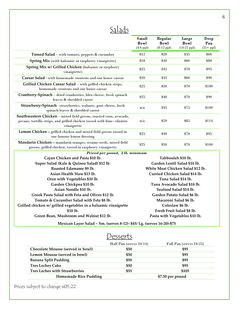|                                                                                                                                                            | Small<br>Bowl<br>$(4-6$ ppl $)$ | Regular<br><b>Bowl</b><br>$(8-12$ ppl $)$ | Large<br>Bowl<br>$(14-25$ ppl $)$ | Deep<br>Pan<br>$(25+$ ppl $)$ |
|------------------------------------------------------------------------------------------------------------------------------------------------------------|---------------------------------|-------------------------------------------|-----------------------------------|-------------------------------|
| Tossed Salad - with tomato, peppers & cucumber                                                                                                             | \$12                            | \$20                                      | \$35                              | \$60                          |
| Spring Mix (with balsamic or raspberry vinaigrette)                                                                                                        | \$18                            | \$30                                      | \$60                              | \$80                          |
| Spring Mix w/ Grilled Chicken (balsamic or raspberry<br>vinaigrette)                                                                                       | \$25                            | \$45                                      | \$70                              | \$95                          |
| Caesar Salad -with homemade croutons and our house caesar                                                                                                  | \$20                            | \$35                                      | \$60                              | \$90                          |
| Grilled Chicken Caesar Salad - with grilled chicken strips,<br>homemade croutons and our house caesar                                                      | \$25                            | \$50                                      | \$70                              | \$100                         |
| Cranberry-Spinach – dried cranberries, bleu cheese, fresh spinach<br>leaves & shredded carrot                                                              | \$25                            | \$40                                      | \$70                              | \$90                          |
| Strawberry-Spinach-strawberries, walnuts, goat cheese, fresh<br>spinach leaves & shredded carrot                                                           | n/a                             | \$45                                      | \$75                              | \$100                         |
| Southwestern Chicken - mixed field greens, roasted corn, avocado,<br>pecans, tortilla strips, and grilled chicken tossed with lime-cilantro<br>vinaigrette | n/a                             | \$59                                      | \$85                              | \$114                         |
| Lemon Chicken - grilled chicken and mixed field greens tossed in<br>our famous lemon dressing                                                              | \$25                            | \$49                                      | \$70                              | \$95                          |
| Mandarin Chicken - mandarin oranges, sesame seeds, mixed field<br>greens, grilled chicken, tossed in raspberry vinaigrette                                 | \$25                            | \$50                                      | \$70                              | \$100                         |

*Priced per pound, 2 lb. minimum*

| Cajun Chicken and Pasta \$10 lb.                                | Tabbouleh \$10 lb.                |
|-----------------------------------------------------------------|-----------------------------------|
| Super Salad (Kale & Quinoa Salad) \$12 lb.                      | Garden Lentil Salad \$10 lb.      |
| Roasted Edamame \$9 lb.                                         | White Meat Chicken Salad \$12 lb. |
| Asian Health Slaw \$13 lb.                                      | Curried Chicken Salad \$14 lb.    |
| Orzo with Vegetables \$10 lb.                                   | Tuna Salad \$14 lb.               |
| Garden Chickpea \$10 lb.                                        | Tuna Avocado Salad \$18 lb.       |
| Asian Noodle \$10 lb.                                           | Seafood Salad \$14 lb.            |
| Greek Pasta Salad with Feta and Olives \$12 lb.                 | Garden Potato Salad \$6 lb.       |
| Tomato & Cucumber Salad with Feta \$8 lb.                       | Macaroni Salad \$6 lb.            |
| Grilled chicken w/ grilled vegetables in a balsamic vinaigrette | Coleslaw \$6 lb.                  |
| \$10 lb.                                                        | Fresh Fruit Salad \$8 lb.         |
| Green Bean, Mushroom and Walnut \$12 lb.                        | Pasta with Vegetables \$10 lb.    |

**Mexican Layer Salad – Sm. (serves 8-12)- \$45/ Lg. (serves 16-20)-\$75**

|                                      | Desserts                |                         |  |
|--------------------------------------|-------------------------|-------------------------|--|
|                                      | Half Pan (serves 10-14) | Full Pan (serves 18-25) |  |
| Chocolate Mousse (served in bowl)    | \$50                    | \$95                    |  |
| Lemon Mousse (served in bowl)        | \$50                    | \$95                    |  |
| <b>Banana Split Pudding</b>          | \$50                    | \$95                    |  |
| <b>Tres Leches Cake</b>              | \$50                    | \$95                    |  |
| <b>Tres Leches with Strawberries</b> | \$55                    | \$105                   |  |
| <b>Homemade Rice Pudding</b>         | \$7.50 per pound        |                         |  |